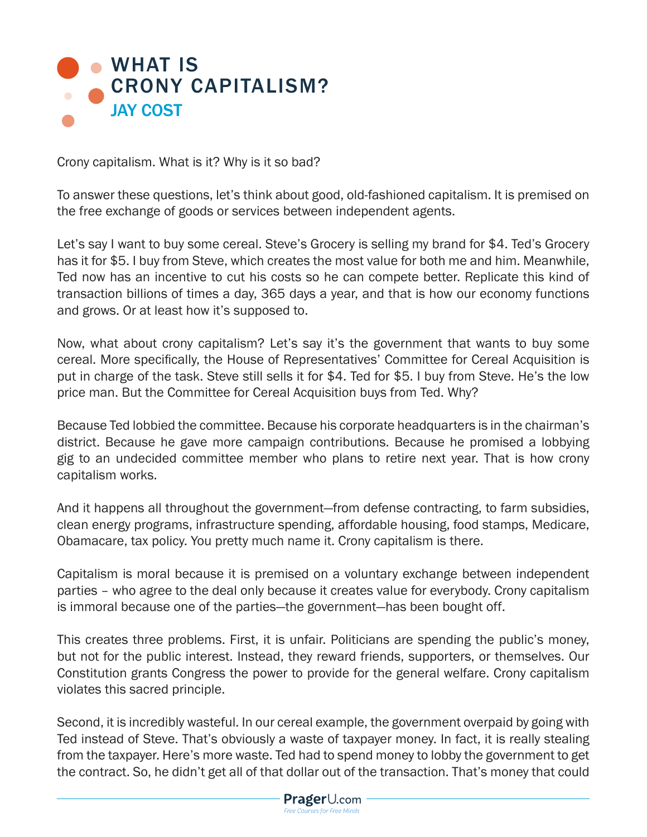

Crony capitalism. What is it? Why is it so bad?

To answer these questions, let's think about good, old-fashioned capitalism. It is premised on the free exchange of goods or services between independent agents.

Let's say I want to buy some cereal. Steve's Grocery is selling my brand for \$4. Ted's Grocery has it for \$5. I buy from Steve, which creates the most value for both me and him. Meanwhile, Ted now has an incentive to cut his costs so he can compete better. Replicate this kind of transaction billions of times a day, 365 days a year, and that is how our economy functions and grows. Or at least how it's supposed to.

Now, what about crony capitalism? Let's say it's the government that wants to buy some cereal. More specifically, the House of Representatives' Committee for Cereal Acquisition is put in charge of the task. Steve still sells it for \$4. Ted for \$5. I buy from Steve. He's the low price man. But the Committee for Cereal Acquisition buys from Ted. Why?

Because Ted lobbied the committee. Because his corporate headquarters is in the chairman's district. Because he gave more campaign contributions. Because he promised a lobbying gig to an undecided committee member who plans to retire next year. That is how crony capitalism works.

And it happens all throughout the government—from defense contracting, to farm subsidies, clean energy programs, infrastructure spending, affordable housing, food stamps, Medicare, Obamacare, tax policy. You pretty much name it. Crony capitalism is there.

Capitalism is moral because it is premised on a voluntary exchange between independent parties – who agree to the deal only because it creates value for everybody. Crony capitalism is immoral because one of the parties—the government—has been bought off.

This creates three problems. First, it is unfair. Politicians are spending the public's money, but not for the public interest. Instead, they reward friends, supporters, or themselves. Our Constitution grants Congress the power to provide for the general welfare. Crony capitalism violates this sacred principle.

Second, it is incredibly wasteful. In our cereal example, the government overpaid by going with Ted instead of Steve. That's obviously a waste of taxpayer money. In fact, it is really stealing from the taxpayer. Here's more waste. Ted had to spend money to lobby the government to get the contract. So, he didn't get all of that dollar out of the transaction. That's money that could